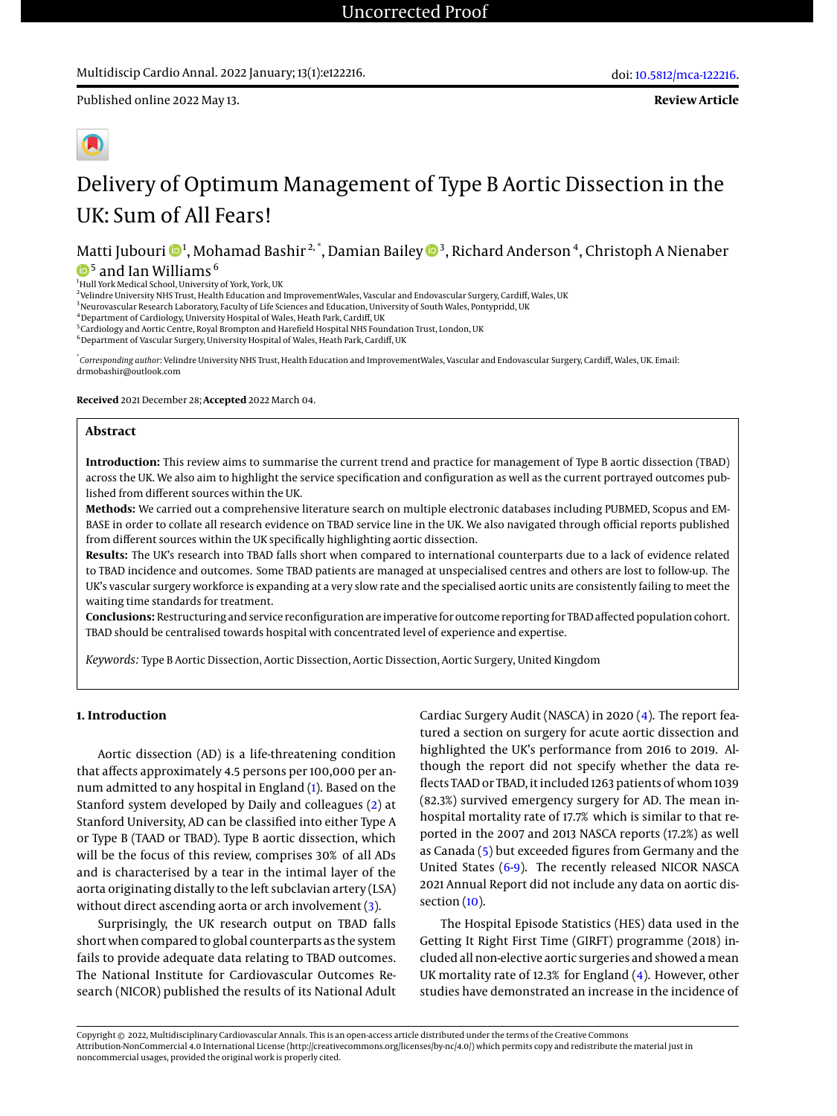**Review Article**



# Delivery of Optimum Management of Type B Aortic Dissection in the UK: Sum of All Fears!

Matti Jubouri  $\mathbf{\Theta}^1$ , Mohamad Bashir $^{2, *},$  Damian Bailey  $\mathbf{\Theta}^3$ , Richard Anderson  $^4$ , Christoph A Nienaber  $^{\rm 5}$  and Ian Williams  $^{\rm 6}$ 

<sup>1</sup>Hull York Medical School, University of York, York, UK<br><sup>2</sup>Velindre University NHS Trust, Health Education and ImprovementWales, Vascular and Endovascular Surgery, Cardiff, Wales, UK

<sup>3</sup>Neurovascular Research Laboratory, Faculty of Life Sciences and Education, University of South Wales, Pontypridd, UK

<sup>4</sup> Department of Cardiology, University Hospital of Wales, Heath Park, Cardiff, UK

<sup>5</sup> Cardiology and Aortic Centre, Royal Brompton and Harefield Hospital NHS Foundation Trust, London, UK

<sup>6</sup> Department of Vascular Surgery, University Hospital of Wales, Heath Park, Cardiff, UK

\* *Corresponding author*: Velindre University NHS Trust, Health Education and ImprovementWales, Vascular and Endovascular Surgery, Cardiff, Wales, UK. Email: drmobashir@outlook.com

**Received** 2021 December 28; **Accepted** 2022 March 04.

#### **Abstract**

**Introduction:** This review aims to summarise the current trend and practice for management of Type B aortic dissection (TBAD) across the UK. We also aim to highlight the service specification and configuration as well as the current portrayed outcomes published from different sources within the UK.

**Methods:** We carried out a comprehensive literature search on multiple electronic databases including PUBMED, Scopus and EM-BASE in order to collate all research evidence on TBAD service line in the UK. We also navigated through official reports published from different sources within the UK specifically highlighting aortic dissection.

**Results:** The UK's research into TBAD falls short when compared to international counterparts due to a lack of evidence related to TBAD incidence and outcomes. Some TBAD patients are managed at unspecialised centres and others are lost to follow-up. The UK's vascular surgery workforce is expanding at a very slow rate and the specialised aortic units are consistently failing to meet the waiting time standards for treatment.

**Conclusions:** Restructuring and service reconfiguration are imperative for outcome reporting for TBAD affected population cohort. TBAD should be centralised towards hospital with concentrated level of experience and expertise.

*Keywords:* Type B Aortic Dissection, Aortic Dissection, Aortic Dissection, Aortic Surgery, United Kingdom

#### **1. Introduction**

Aortic dissection (AD) is a life-threatening condition that affects approximately 4.5 persons per 100,000 per annum admitted to any hospital in England [\(1\)](#page-3-0). Based on the Stanford system developed by Daily and colleagues [\(2\)](#page-3-1) at Stanford University, AD can be classified into either Type A or Type B (TAAD or TBAD). Type B aortic dissection, which will be the focus of this review, comprises 30% of all ADs and is characterised by a tear in the intimal layer of the aorta originating distally to the left subclavian artery (LSA) without direct ascending aorta or arch involvement [\(3\)](#page-3-2).

Surprisingly, the UK research output on TBAD falls short when compared to global counterparts as the system fails to provide adequate data relating to TBAD outcomes. The National Institute for Cardiovascular Outcomes Research (NICOR) published the results of its National Adult

Cardiac Surgery Audit (NASCA) in 2020 [\(4\)](#page-3-3). The report featured a section on surgery for acute aortic dissection and highlighted the UK's performance from 2016 to 2019. Although the report did not specify whether the data reflects TAAD or TBAD, it included 1263 patients of whom 1039 (82.3%) survived emergency surgery for AD. The mean inhospital mortality rate of 17.7% which is similar to that reported in the 2007 and 2013 NASCA reports (17.2%) as well as Canada [\(5\)](#page-3-4) but exceeded figures from Germany and the United States [\(6-](#page-3-5)[9\)](#page-3-6). The recently released NICOR NASCA 2021 Annual Report did not include any data on aortic dissection [\(10\)](#page-3-7).

The Hospital Episode Statistics (HES) data used in the Getting It Right First Time (GIRFT) programme (2018) included all non-elective aortic surgeries and showed amean UK mortality rate of 12.3% for England [\(4\)](#page-3-3). However, other studies have demonstrated an increase in the incidence of

Copyright © 2022, Multidisciplinary Cardiovascular Annals. This is an open-access article distributed under the terms of the Creative Commons Attribution-NonCommercial 4.0 International License (http://creativecommons.org/licenses/by-nc/4.0/) which permits copy and redistribute the material just in noncommercial usages, provided the original work is properly cited.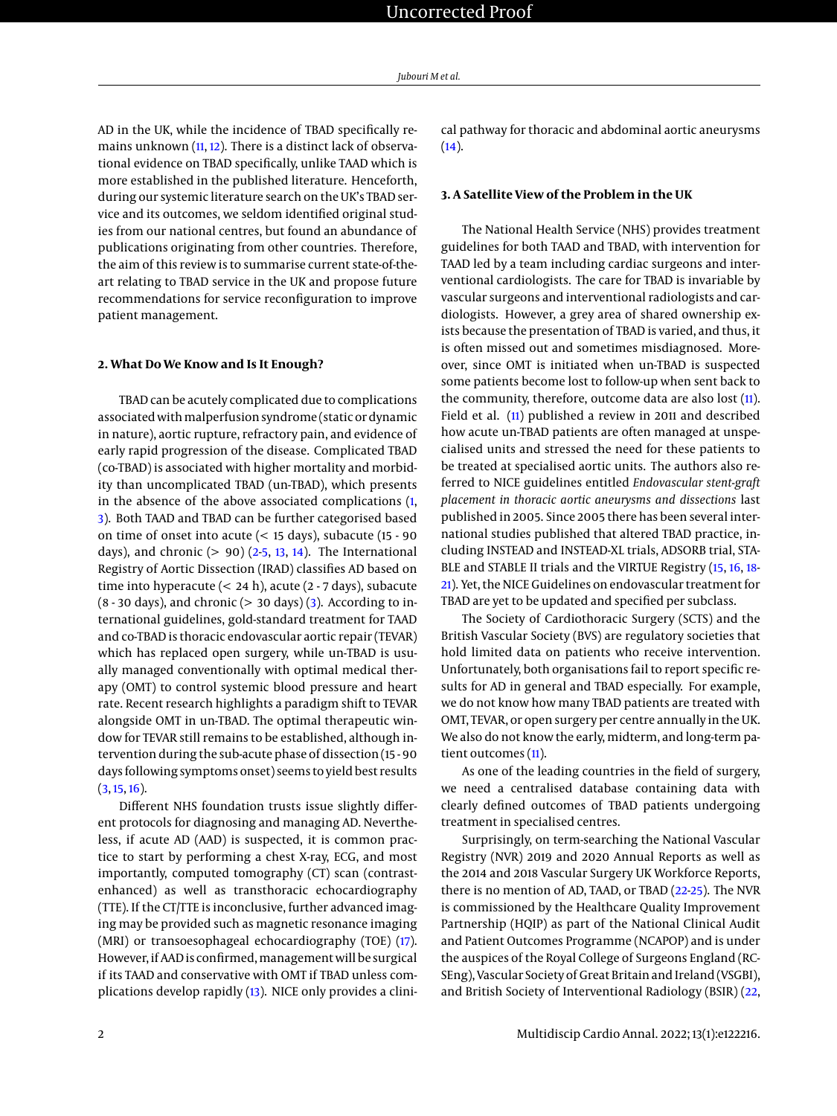AD in the UK, while the incidence of TBAD specifically remains unknown  $(11, 12)$  $(11, 12)$  $(11, 12)$ . There is a distinct lack of observational evidence on TBAD specifically, unlike TAAD which is more established in the published literature. Henceforth, during our systemic literature search on the UK's TBAD service and its outcomes, we seldom identified original studies from our national centres, but found an abundance of publications originating from other countries. Therefore, the aim of this review is to summarise current state-of-theart relating to TBAD service in the UK and propose future recommendations for service reconfiguration to improve patient management.

#### **2. What Do We Know and Is It Enough?**

TBAD can be acutely complicated due to complications associated with malperfusion syndrome (static or dynamic in nature), aortic rupture, refractory pain, and evidence of early rapid progression of the disease. Complicated TBAD (co-TBAD) is associated with higher mortality and morbidity than uncomplicated TBAD (un-TBAD), which presents in the absence of the above associated complications [\(1,](#page-3-0) [3\)](#page-3-2). Both TAAD and TBAD can be further categorised based on time of onset into acute (< 15 days), subacute (15 - 90 days), and chronic  $(> 90)$   $(2-5, 13, 14)$  $(2-5, 13, 14)$  $(2-5, 13, 14)$  $(2-5, 13, 14)$  $(2-5, 13, 14)$  $(2-5, 13, 14)$ . The International Registry of Aortic Dissection (IRAD) classifies AD based on time into hyperacute (< 24 h), acute (2 - 7 days), subacute  $(8 - 30$  days), and chronic  $(> 30$  days)  $(3)$ . According to international guidelines, gold-standard treatment for TAAD and co-TBAD is thoracic endovascular aortic repair (TEVAR) which has replaced open surgery, while un-TBAD is usually managed conventionally with optimal medical therapy (OMT) to control systemic blood pressure and heart rate. Recent research highlights a paradigm shift to TEVAR alongside OMT in un-TBAD. The optimal therapeutic window for TEVAR still remains to be established, although intervention during the sub-acute phase of dissection (15 - 90 days following symptoms onset) seems to yield best results  $(3, 15, 16)$  $(3, 15, 16)$  $(3, 15, 16)$  $(3, 15, 16)$  $(3, 15, 16)$ .

Different NHS foundation trusts issue slightly different protocols for diagnosing and managing AD. Nevertheless, if acute AD (AAD) is suspected, it is common practice to start by performing a chest X-ray, ECG, and most importantly, computed tomography (CT) scan (contrastenhanced) as well as transthoracic echocardiography (TTE). If the CT/TTE is inconclusive, further advanced imaging may be provided such as magnetic resonance imaging (MRI) or transoesophageal echocardiography (TOE) [\(17\)](#page-4-0). However, if AAD is confirmed, management will be surgical if its TAAD and conservative with OMT if TBAD unless complications develop rapidly [\(13\)](#page-3-10). NICE only provides a clinical pathway for thoracic and abdominal aortic aneurysms  $(14).$  $(14).$ 

### **3. A Satellite View of the Problem in the UK**

The National Health Service (NHS) provides treatment guidelines for both TAAD and TBAD, with intervention for TAAD led by a team including cardiac surgeons and interventional cardiologists. The care for TBAD is invariable by vascular surgeons and interventional radiologists and cardiologists. However, a grey area of shared ownership exists because the presentation of TBAD is varied, and thus, it is often missed out and sometimes misdiagnosed. Moreover, since OMT is initiated when un-TBAD is suspected some patients become lost to follow-up when sent back to the community, therefore, outcome data are also lost [\(11\)](#page-3-8). Field et al. [\(11\)](#page-3-8) published a review in 2011 and described how acute un-TBAD patients are often managed at unspecialised units and stressed the need for these patients to be treated at specialised aortic units. The authors also referred to NICE guidelines entitled *Endovascular stent-graft placement in thoracic aortic aneurysms and dissections* last published in 2005. Since 2005 there has been several international studies published that altered TBAD practice, including INSTEAD and INSTEAD-XL trials, ADSORB trial, STA-BLE and STABLE II trials and the VIRTUE Registry [\(15,](#page-3-12) [16,](#page-3-13) [18-](#page-4-1) [21\)](#page-4-2). Yet, the NICE Guidelines on endovascular treatment for TBAD are yet to be updated and specified per subclass.

The Society of Cardiothoracic Surgery (SCTS) and the British Vascular Society (BVS) are regulatory societies that hold limited data on patients who receive intervention. Unfortunately, both organisations fail to report specific results for AD in general and TBAD especially. For example, we do not know how many TBAD patients are treated with OMT, TEVAR, or open surgery per centre annually in the UK. We also do not know the early, midterm, and long-term patient outcomes [\(11\)](#page-3-8).

As one of the leading countries in the field of surgery, we need a centralised database containing data with clearly defined outcomes of TBAD patients undergoing treatment in specialised centres.

Surprisingly, on term-searching the National Vascular Registry (NVR) 2019 and 2020 Annual Reports as well as the 2014 and 2018 Vascular Surgery UK Workforce Reports, there is no mention of AD, TAAD, or TBAD [\(22](#page-4-3)[-25\)](#page-4-4). The NVR is commissioned by the Healthcare Quality Improvement Partnership (HQIP) as part of the National Clinical Audit and Patient Outcomes Programme (NCAPOP) and is under the auspices of the Royal College of Surgeons England (RC-SEng), Vascular Society of Great Britain and Ireland (VSGBI), and British Society of Interventional Radiology (BSIR) [\(22,](#page-4-3)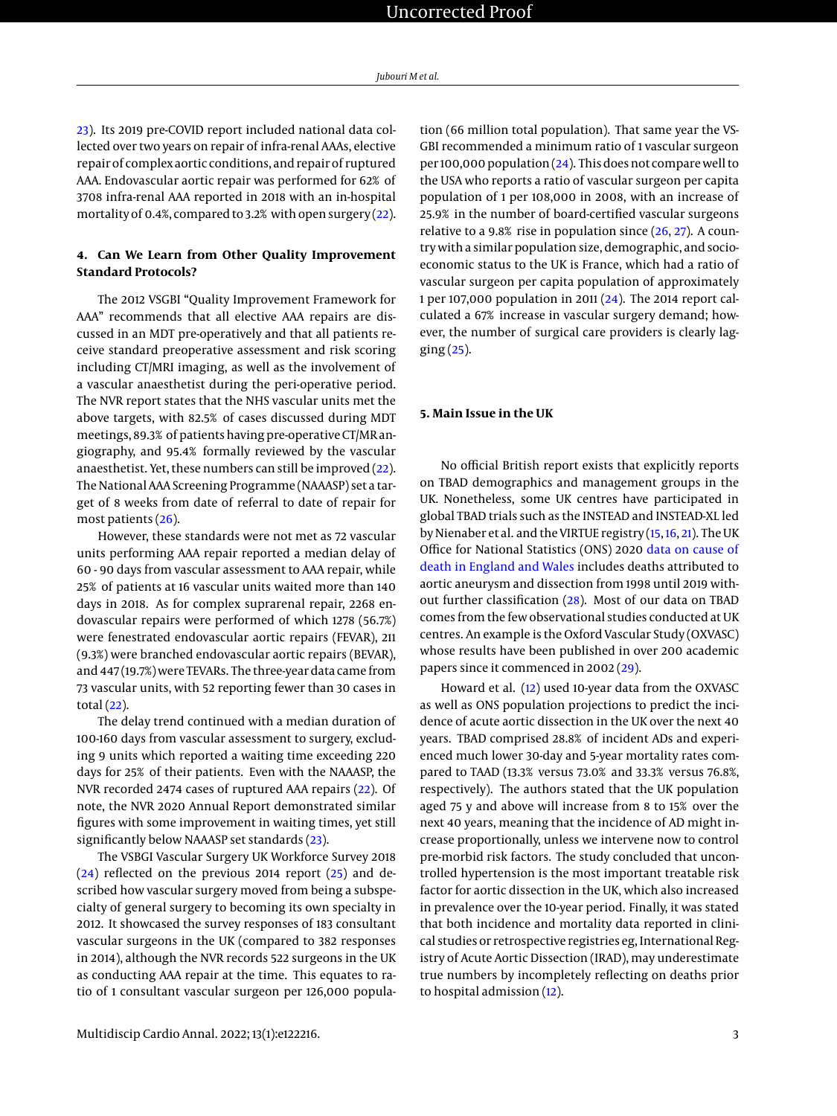[23\)](#page-4-5). Its 2019 pre-COVID report included national data collected over two years on repair of infra-renal AAAs, elective repair of complex aortic conditions, and repair of ruptured AAA. Endovascular aortic repair was performed for 62% of 3708 infra-renal AAA reported in 2018 with an in-hospital mortality of 0.4%, compared to 3.2% with open surgery [\(22\)](#page-4-3).

# **4. Can We Learn from Other Quality Improvement Standard Protocols?**

The 2012 VSGBI "Quality Improvement Framework for AAA" recommends that all elective AAA repairs are discussed in an MDT pre-operatively and that all patients receive standard preoperative assessment and risk scoring including CT/MRI imaging, as well as the involvement of a vascular anaesthetist during the peri-operative period. The NVR report states that the NHS vascular units met the above targets, with 82.5% of cases discussed during MDT meetings, 89.3% of patients having pre-operative CT/MR angiography, and 95.4% formally reviewed by the vascular anaesthetist. Yet, these numbers can still be improved [\(22\)](#page-4-3). The National AAA Screening Programme (NAAASP) set a target of 8 weeks from date of referral to date of repair for most patients [\(26\)](#page-4-6).

However, these standards were not met as 72 vascular units performing AAA repair reported a median delay of 60 - 90 days from vascular assessment to AAA repair, while 25% of patients at 16 vascular units waited more than 140 days in 2018. As for complex suprarenal repair, 2268 endovascular repairs were performed of which 1278 (56.7%) were fenestrated endovascular aortic repairs (FEVAR), 211 (9.3%) were branched endovascular aortic repairs (BEVAR), and 447 (19.7%) were TEVARs. The three-year data came from 73 vascular units, with 52 reporting fewer than 30 cases in total $(22)$ .

The delay trend continued with a median duration of 100-160 days from vascular assessment to surgery, excluding 9 units which reported a waiting time exceeding 220 days for 25% of their patients. Even with the NAAASP, the NVR recorded 2474 cases of ruptured AAA repairs [\(22\)](#page-4-3). Of note, the NVR 2020 Annual Report demonstrated similar figures with some improvement in waiting times, yet still significantly below NAAASP set standards [\(23\)](#page-4-5).

The VSBGI Vascular Surgery UK Workforce Survey 2018 [\(24\)](#page-4-7) reflected on the previous 2014 report [\(25\)](#page-4-4) and described how vascular surgery moved from being a subspecialty of general surgery to becoming its own specialty in 2012. It showcased the survey responses of 183 consultant vascular surgeons in the UK (compared to 382 responses in 2014), although the NVR records 522 surgeons in the UK as conducting AAA repair at the time. This equates to ratio of 1 consultant vascular surgeon per 126,000 popula-

tion (66 million total population). That same year the VS-GBI recommended a minimum ratio of 1 vascular surgeon per 100,000 population [\(24\)](#page-4-7). This does not compare well to the USA who reports a ratio of vascular surgeon per capita population of 1 per 108,000 in 2008, with an increase of 25.9% in the number of board-certified vascular surgeons relative to a 9.8% rise in population since  $(26, 27)$  $(26, 27)$  $(26, 27)$ . A country with a similar population size, demographic, and socioeconomic status to the UK is France, which had a ratio of vascular surgeon per capita population of approximately 1 per 107,000 population in 2011 [\(24\)](#page-4-7). The 2014 report calculated a 67% increase in vascular surgery demand; however, the number of surgical care providers is clearly lagging [\(25\)](#page-4-4).

# **5. Main Issue in the UK**

No official British report exists that explicitly reports on TBAD demographics and management groups in the UK. Nonetheless, some UK centres have participated in global TBAD trials such as the INSTEAD and INSTEAD-XL led by Nienaber et al. and the VIRTUE registry [\(15,](#page-3-12) [16,](#page-3-13) [21\)](#page-4-2). The UK Office for National Statistics (ONS) 2020 [data on cause of](https://www.ons.gov.uk/peoplepopulationandcommunity/birthsdeathsandmarriages/deaths/adhocs/12426numberofdeathregistrationswheretheunderlyingcausewasaorticaneurysmanddissectionbysexandfiveyearagegroupenglandandwales1998to2019) [death in England and Wales](https://www.ons.gov.uk/peoplepopulationandcommunity/birthsdeathsandmarriages/deaths/adhocs/12426numberofdeathregistrationswheretheunderlyingcausewasaorticaneurysmanddissectionbysexandfiveyearagegroupenglandandwales1998to2019) includes deaths attributed to aortic aneurysm and dissection from 1998 until 2019 without further classification [\(28\)](#page-4-9). Most of our data on TBAD comes from the few observational studies conducted at UK centres. An example is the Oxford Vascular Study (OXVASC) whose results have been published in over 200 academic papers since it commenced in 2002 [\(29\)](#page-4-10).

Howard et al. [\(12\)](#page-3-9) used 10-year data from the OXVASC as well as ONS population projections to predict the incidence of acute aortic dissection in the UK over the next 40 years. TBAD comprised 28.8% of incident ADs and experienced much lower 30-day and 5-year mortality rates compared to TAAD (13.3% versus 73.0% and 33.3% versus 76.8%, respectively). The authors stated that the UK population aged 75 y and above will increase from 8 to 15% over the next 40 years, meaning that the incidence of AD might increase proportionally, unless we intervene now to control pre-morbid risk factors. The study concluded that uncontrolled hypertension is the most important treatable risk factor for aortic dissection in the UK, which also increased in prevalence over the 10-year period. Finally, it was stated that both incidence and mortality data reported in clinical studies or retrospective registries eg, International Registry of Acute Aortic Dissection (IRAD), may underestimate true numbers by incompletely reflecting on deaths prior to hospital admission [\(12\)](#page-3-9).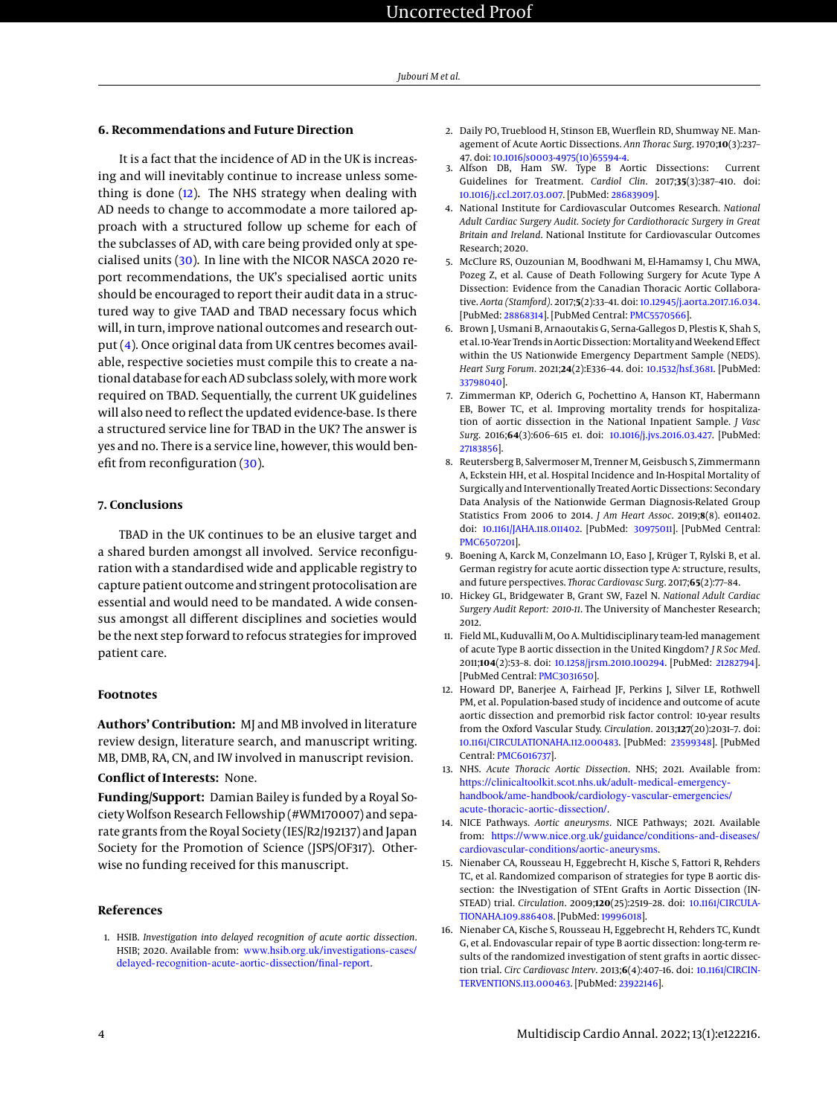#### **6. Recommendations and Future Direction**

It is a fact that the incidence of AD in the UK is increasing and will inevitably continue to increase unless something is done  $(12)$ . The NHS strategy when dealing with AD needs to change to accommodate a more tailored approach with a structured follow up scheme for each of the subclasses of AD, with care being provided only at specialised units [\(30\)](#page-4-11). In line with the NICOR NASCA 2020 report recommendations, the UK's specialised aortic units should be encouraged to report their audit data in a structured way to give TAAD and TBAD necessary focus which will, in turn, improve national outcomes and research output [\(4\)](#page-3-3). Once original data from UK centres becomes available, respective societies must compile this to create a national database for each AD subclass solely, withmore work required on TBAD. Sequentially, the current UK guidelines will also need to reflect the updated evidence-base. Is there a structured service line for TBAD in the UK? The answer is yes and no. There is a service line, however, this would benefit from reconfiguration [\(30\)](#page-4-11).

# **7. Conclusions**

TBAD in the UK continues to be an elusive target and a shared burden amongst all involved. Service reconfiguration with a standardised wide and applicable registry to capture patient outcome and stringent protocolisation are essential and would need to be mandated. A wide consensus amongst all different disciplines and societies would be the next step forward to refocus strategies for improved patient care.

#### **Footnotes**

**Authors' Contribution:** MJ and MB involved in literature review design, literature search, and manuscript writing. MB, DMB, RA, CN, and IW involved in manuscript revision.

# **Conflict of Interests:** None.

**Funding/Support:** Damian Bailey is funded by a Royal Society Wolfson Research Fellowship (#WM170007) and separate grants from the Royal Society (IES/R2/192137) and Japan Society for the Promotion of Science (JSPS/OF317). Otherwise no funding received for this manuscript.

#### **References**

<span id="page-3-0"></span>1. HSIB. *Investigation into delayed recognition of acute aortic dissection*. HSIB; 2020. Available from: [www.hsib.org.uk/investigations-cases/](www.hsib.org.uk/investigations-cases/delayed-recognition-acute-aortic-dissection/final-report) [delayed-recognition-acute-aortic-dissection/final-report](www.hsib.org.uk/investigations-cases/delayed-recognition-acute-aortic-dissection/final-report).

- <span id="page-3-1"></span>2. Daily PO, Trueblood H, Stinson EB, Wuerflein RD, Shumway NE. Management of Acute Aortic Dissections. *Ann Thorac Surg*. 1970;**10**(3):237–
- <span id="page-3-2"></span>47. doi: [10.1016/s0003-4975\(10\)65594-4.](http://dx.doi.org/10.1016/s0003-4975(10)65594-4) 3. Alfson DB, Ham SW. Type B Aortic Dissections: Current Guidelines for Treatment. *Cardiol Clin*. 2017;**35**(3):387–410. doi: [10.1016/j.ccl.2017.03.007.](http://dx.doi.org/10.1016/j.ccl.2017.03.007) [PubMed: [28683909\]](http://www.ncbi.nlm.nih.gov/pubmed/28683909).
- <span id="page-3-3"></span>4. National Institute for Cardiovascular Outcomes Research. *National Adult Cardiac Surgery Audit. Society for Cardiothoracic Surgery in Great Britain and Ireland*. National Institute for Cardiovascular Outcomes Research; 2020.
- <span id="page-3-4"></span>5. McClure RS, Ouzounian M, Boodhwani M, El-Hamamsy I, Chu MWA, Pozeg Z, et al. Cause of Death Following Surgery for Acute Type A Dissection: Evidence from the Canadian Thoracic Aortic Collaborative. *Aorta (Stamford)*. 2017;**5**(2):33–41. doi: [10.12945/j.aorta.2017.16.034.](http://dx.doi.org/10.12945/j.aorta.2017.16.034) [PubMed: [28868314\]](http://www.ncbi.nlm.nih.gov/pubmed/28868314). [PubMed Central: [PMC5570566\]](https://www.ncbi.nlm.nih.gov/pmc/articles/PMC5570566).
- <span id="page-3-5"></span>6. Brown J, Usmani B, Arnaoutakis G, Serna-Gallegos D, Plestis K, Shah S, et al. 10-Year Trends in Aortic Dissection: Mortality and Weekend Effect within the US Nationwide Emergency Department Sample (NEDS). *Heart Surg Forum*. 2021;**24**(2):E336–44. doi: [10.1532/hsf.3681.](http://dx.doi.org/10.1532/hsf.3681) [PubMed: [33798040\]](http://www.ncbi.nlm.nih.gov/pubmed/33798040).
- 7. Zimmerman KP, Oderich G, Pochettino A, Hanson KT, Habermann EB, Bower TC, et al. Improving mortality trends for hospitalization of aortic dissection in the National Inpatient Sample. *J Vasc Surg*. 2016;**64**(3):606–615 e1. doi: [10.1016/j.jvs.2016.03.427.](http://dx.doi.org/10.1016/j.jvs.2016.03.427) [PubMed: [27183856\]](http://www.ncbi.nlm.nih.gov/pubmed/27183856).
- 8. Reutersberg B, Salvermoser M, Trenner M, Geisbusch S, Zimmermann A, Eckstein HH, et al. Hospital Incidence and In-Hospital Mortality of Surgically and Interventionally Treated Aortic Dissections: Secondary Data Analysis of the Nationwide German Diagnosis-Related Group Statistics From 2006 to 2014. *J Am Heart Assoc*. 2019;**8**(8). e011402. doi: [10.1161/JAHA.118.011402.](http://dx.doi.org/10.1161/JAHA.118.011402) [PubMed: [30975011\]](http://www.ncbi.nlm.nih.gov/pubmed/30975011). [PubMed Central: [PMC6507201\]](https://www.ncbi.nlm.nih.gov/pmc/articles/PMC6507201).
- <span id="page-3-6"></span>9. Boening A, Karck M, Conzelmann LO, Easo J, Krüger T, Rylski B, et al. German registry for acute aortic dissection type A: structure, results, and future perspectives. *Thorac Cardiovasc Surg*. 2017;**65**(2):77–84.
- <span id="page-3-7"></span>10. Hickey GL, Bridgewater B, Grant SW, Fazel N. *National Adult Cardiac Surgery Audit Report: 2010-11*. The University of Manchester Research; 2012.
- <span id="page-3-8"></span>11. Field ML, Kuduvalli M, Oo A. Multidisciplinary team-led management of acute Type B aortic dissection in the United Kingdom? *J R Soc Med*. 2011;**104**(2):53–8. doi: [10.1258/jrsm.2010.100294.](http://dx.doi.org/10.1258/jrsm.2010.100294) [PubMed: [21282794\]](http://www.ncbi.nlm.nih.gov/pubmed/21282794). [PubMed Central: [PMC3031650\]](https://www.ncbi.nlm.nih.gov/pmc/articles/PMC3031650).
- <span id="page-3-9"></span>12. Howard DP, Banerjee A, Fairhead JF, Perkins J, Silver LE, Rothwell PM, et al. Population-based study of incidence and outcome of acute aortic dissection and premorbid risk factor control: 10-year results from the Oxford Vascular Study. *Circulation*. 2013;**127**(20):2031–7. doi: [10.1161/CIRCULATIONAHA.112.000483.](http://dx.doi.org/10.1161/CIRCULATIONAHA.112.000483) [PubMed: [23599348\]](http://www.ncbi.nlm.nih.gov/pubmed/23599348). [PubMed Central: [PMC6016737\]](https://www.ncbi.nlm.nih.gov/pmc/articles/PMC6016737).
- <span id="page-3-10"></span>13. NHS. *Acute Thoracic Aortic Dissection*. NHS; 2021. Available from: [https://clinicaltoolkit.scot.nhs.uk/adult-medical-emergency](https://clinicaltoolkit.scot.nhs.uk/adult-medical-emergency-handbook/ame-handbook/cardiology-vascular-emergencies/acute-thoracic-aortic-dissection/)[handbook/ame-handbook/cardiology-vascular-emergencies/](https://clinicaltoolkit.scot.nhs.uk/adult-medical-emergency-handbook/ame-handbook/cardiology-vascular-emergencies/acute-thoracic-aortic-dissection/) [acute-thoracic-aortic-dissection/](https://clinicaltoolkit.scot.nhs.uk/adult-medical-emergency-handbook/ame-handbook/cardiology-vascular-emergencies/acute-thoracic-aortic-dissection/).
- <span id="page-3-11"></span>14. NICE Pathways. *Aortic aneurysms*. NICE Pathways; 2021. Available from: [https://www.nice.org.uk/guidance/conditions-and-diseases/](https://www.nice.org.uk/guidance/conditions-and-diseases/cardiovascular-conditions/aortic-aneurysms) [cardiovascular-conditions/aortic-aneurysms](https://www.nice.org.uk/guidance/conditions-and-diseases/cardiovascular-conditions/aortic-aneurysms).
- <span id="page-3-12"></span>15. Nienaber CA, Rousseau H, Eggebrecht H, Kische S, Fattori R, Rehders TC, et al. Randomized comparison of strategies for type B aortic dissection: the INvestigation of STEnt Grafts in Aortic Dissection (IN-STEAD) trial. *Circulation*. 2009;**120**(25):2519–28. doi: [10.1161/CIRCULA-](http://dx.doi.org/10.1161/CIRCULATIONAHA.109.886408)[TIONAHA.109.886408.](http://dx.doi.org/10.1161/CIRCULATIONAHA.109.886408) [PubMed: [19996018\]](http://www.ncbi.nlm.nih.gov/pubmed/19996018).
- <span id="page-3-13"></span>16. Nienaber CA, Kische S, Rousseau H, Eggebrecht H, Rehders TC, Kundt G, et al. Endovascular repair of type B aortic dissection: long-term results of the randomized investigation of stent grafts in aortic dissection trial. *Circ Cardiovasc Interv*. 2013;**6**(4):407–16. doi: [10.1161/CIRCIN-](http://dx.doi.org/10.1161/CIRCINTERVENTIONS.113.000463)[TERVENTIONS.113.000463.](http://dx.doi.org/10.1161/CIRCINTERVENTIONS.113.000463) [PubMed: [23922146\]](http://www.ncbi.nlm.nih.gov/pubmed/23922146).